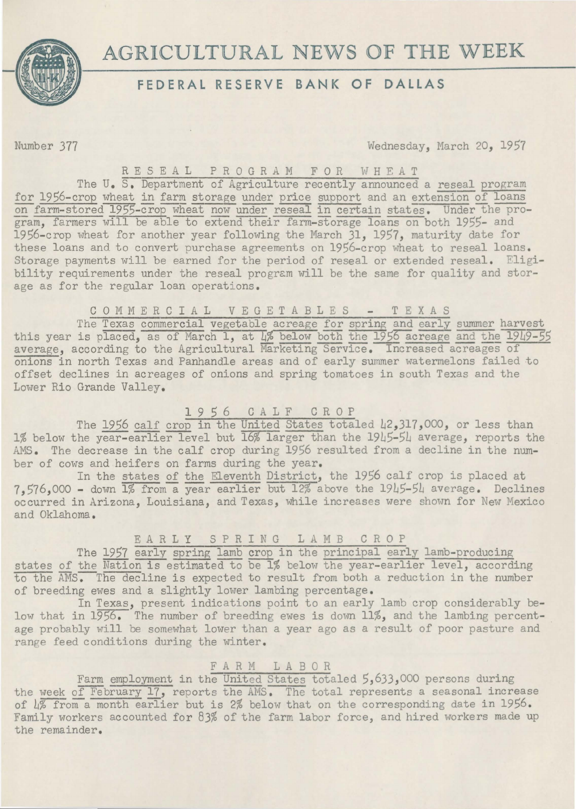

# **AGRICULTURAL NEWS OF THE WEEK**

# **FEDERAL RESERVE BANK OF DALLAS**

Number 377 Wednesday, March 20, 1957

#### RESEAL PROGRAM FOR WHEAT

The U. S. Department of Agriculture recently announced a reseal program for 1956-crop wheat in farm storage under price support and an extension of loans on farm-stored 1955-crop wheat now under reseal in certain states. Under the program, farmers will be able to extend their farm-storage loans on both 1955- and 1956-crop wheat for another year following the March 31, 1957, maturity date for these loans and to convert purchase agreements on 1956-crop wheat to reseal loans. Storage payments will be earned for the period of reseal or extended reseal. Eligibility requirements under the reseal program will be the same for quality and storage as for the regular loan operations.

#### COMMERCIAL VEGETABLES - TEXAS

The Texas commercial vegetable acreage for spring and early summer harvest this year is placed, as of March 1, at  $\frac{1}{8}$  below both the 1956 acreage and the 1949-55 average, according to the Agricultural Marketing Service. Increased acreages of onions in north Texas and Panhandle areas and of early summer watermelons failed to offset declines in acreages of onions and spring tomatoes in south Texas and the Lower Rio Grande Valley.

### **1** 9 *5* 6 C A 1 F C R 0 P

The 1956 calf crop in the United States totaled 42,317,000, or less than 1% below the year-earlier level but 16% larger than the 1945-5L average, reports the AMS. The decrease in the calf crop during 1956 resulted from a decline in the number of cows and heifers on farms during the year.

In the states of the Eleventh District, the 1956 calf crop is placed at 7,576,000 - down 1% from-a year earlier but 12% above the 19L5-5L average. Declines occurred in Arizona, Louisiana, and Texas, while increases were shown for New Mexico and Oklahoma.

## E A R L Y S P R I N G L A M B C R O P

The 1957 early spring lamb crop in the principal early lamb-producing states of the Nation is estimated to be 1% below the year-earlier level, according to the AMS. The decline is expected to result from both a reduction in the number of breeding ewes and a slightly lower lambing percentage.

In Texas, present indications point to an early lamb crop considerably below that in 1956. The number of breeding ewes is down 11%, and the lambing percentage probably will be somewhat lower than a year ago as a result of poor pasture and range feed conditions during the winter.

### FARM LABOR

Farm employment in the United States totaled 5,633,000 persons during the week of February 17, reports the AMS. The total represents a seasonal increase of  $\sqrt{4\%}$  from a month earlier but is 2% below that on the corresponding date in 1956. Family workers accounted for 83% of the farm labor force, and hired workers made up the remainder.